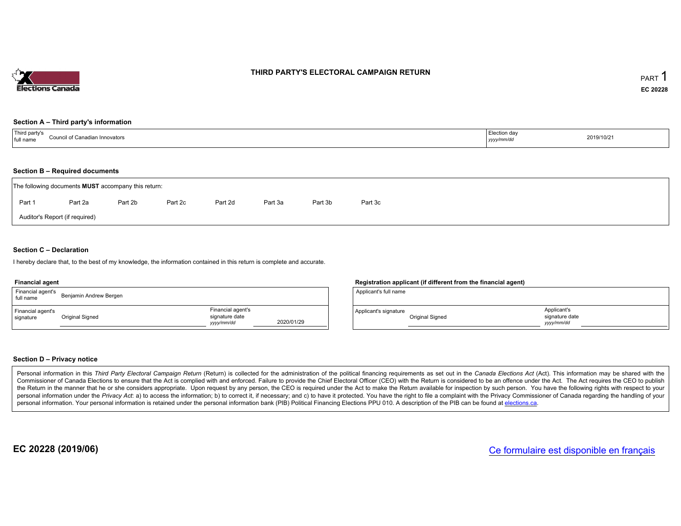

# THIRD PARTY'S ELECTORAL CAMPAIGN RETURN

## Section <sup>A</sup> – Third party's information

| <sup>1</sup> Third party's<br>Council of Canadian Innovators<br>full name | Election day<br>yyyy/mm/dc' | 2019/10/21 |
|---------------------------------------------------------------------------|-----------------------------|------------|
|---------------------------------------------------------------------------|-----------------------------|------------|

# Section <sup>B</sup> – Required documents

|                                | The following documents <b>MUST</b> accompany this return: |         |         |         |         |         |         |  |  |  |  |  |
|--------------------------------|------------------------------------------------------------|---------|---------|---------|---------|---------|---------|--|--|--|--|--|
| Part 1                         | Part 2a                                                    | Part 2b | Part 2c | Part 2d | Part 3a | Part 3b | Part 3c |  |  |  |  |  |
| Auditor's Report (if required) |                                                            |         |         |         |         |         |         |  |  |  |  |  |

## Section <sup>C</sup> – Declaration

hereby declare that, to the best of my knowledge, the information contained in this return is complete and accurate.

#### Financial agent

| Financial agent's<br>full name | Benjamin Andrew Bergen |                                                  |            |
|--------------------------------|------------------------|--------------------------------------------------|------------|
| Financial agent's<br>signature | Original Signed        | Financial agent's<br>signature date<br>vyy/mm/dd | 2020/01/29 |

# Registration applicant (if different from the financial agent)

| Applicant's full name |                 |                                            |  |
|-----------------------|-----------------|--------------------------------------------|--|
| Applicant's signature | Original Signed | Applicant's<br>signature date<br>yyy/mm/dd |  |

# Section <sup>D</sup> – Privacy notice

Personal information in this Third Party Electoral Campaign Return (Return) is collected for the administration of the political financing requirements as set out in the Canada Elections Act (Act). This information may be Commissioner of Canada Elections to ensure that the Act is complied with and enforced. Failure to provide the Chief Electoral Officer (CEO) with the Return is considered to be an offence under the Act. The Act requires the the Return in the manner that he or she considers appropriate. Upon request by any person, the CEO is required under the Act to make the Return available for inspection by such person. You have the capacity with respect to personal information under the Privacy Act. a) to access the information; b) to correct it, if necessary; and c) to have it protected. You have the right to file a complaint with the Privacy Commissioner of Canada regardin personal information. Your personal information is retained under the personal information bank (PIB) Political Financing Elections PPU 010. A description of the PIB can be found at <u>elections.ca</u>.

EC 20228 (2019/06)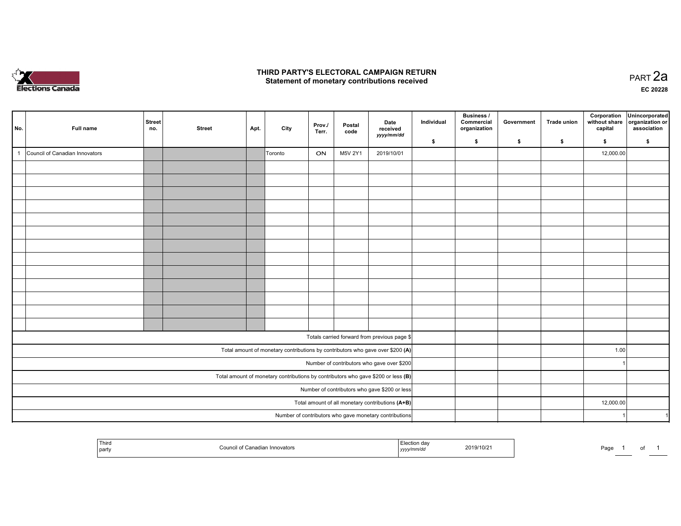

#### THIRD PARTY'S ELECTORAL CAMPAIGN RETURN Statement of monetary contributions received

| No.            | Full name                                                                           | <b>Street</b>                                    | <b>Street</b> |      |         | Prov./    | Postal  | Date                                                   | Individual | <b>Business /</b><br>Commercial | Government | <b>Trade union</b> | Corporation<br>without share | Unincorporated<br>organization or<br>association |
|----------------|-------------------------------------------------------------------------------------|--------------------------------------------------|---------------|------|---------|-----------|---------|--------------------------------------------------------|------------|---------------------------------|------------|--------------------|------------------------------|--------------------------------------------------|
|                |                                                                                     | no.                                              |               | Apt. | City    | Terr.     | code    | received<br>yyyy/mm/dd                                 |            | organization                    |            |                    | capital                      |                                                  |
| $\overline{1}$ |                                                                                     |                                                  |               |      |         |           |         |                                                        | \$         | \$                              | \$         | \$                 | \$                           | \$                                               |
|                | Council of Canadian Innovators                                                      |                                                  |               |      | Toronto | ON        | M5V 2Y1 | 2019/10/01                                             |            |                                 |            |                    | 12,000.00                    |                                                  |
|                |                                                                                     |                                                  |               |      |         |           |         |                                                        |            |                                 |            |                    |                              |                                                  |
|                |                                                                                     |                                                  |               |      |         |           |         |                                                        |            |                                 |            |                    |                              |                                                  |
|                |                                                                                     |                                                  |               |      |         |           |         |                                                        |            |                                 |            |                    |                              |                                                  |
|                |                                                                                     |                                                  |               |      |         |           |         |                                                        |            |                                 |            |                    |                              |                                                  |
|                |                                                                                     |                                                  |               |      |         |           |         |                                                        |            |                                 |            |                    |                              |                                                  |
|                |                                                                                     |                                                  |               |      |         |           |         |                                                        |            |                                 |            |                    |                              |                                                  |
|                |                                                                                     |                                                  |               |      |         |           |         |                                                        |            |                                 |            |                    |                              |                                                  |
|                |                                                                                     |                                                  |               |      |         |           |         |                                                        |            |                                 |            |                    |                              |                                                  |
|                |                                                                                     |                                                  |               |      |         |           |         |                                                        |            |                                 |            |                    |                              |                                                  |
|                |                                                                                     |                                                  |               |      |         |           |         |                                                        |            |                                 |            |                    |                              |                                                  |
|                |                                                                                     |                                                  |               |      |         |           |         |                                                        |            |                                 |            |                    |                              |                                                  |
|                |                                                                                     |                                                  |               |      |         |           |         |                                                        |            |                                 |            |                    |                              |                                                  |
|                |                                                                                     |                                                  |               |      |         |           |         |                                                        |            |                                 |            |                    |                              |                                                  |
|                |                                                                                     |                                                  |               |      |         |           |         | Totals carried forward from previous page \$           |            |                                 |            |                    |                              |                                                  |
|                | Total amount of monetary contributions by contributors who gave over \$200 (A)      |                                                  |               |      |         |           |         |                                                        |            |                                 |            |                    | 1.00                         |                                                  |
|                | Number of contributors who gave over \$200                                          |                                                  |               |      |         |           |         |                                                        |            |                                 |            |                    |                              |                                                  |
|                | Total amount of monetary contributions by contributors who gave \$200 or less $(B)$ |                                                  |               |      |         |           |         |                                                        |            |                                 |            |                    |                              |                                                  |
|                |                                                                                     | Number of contributors who gave \$200 or less    |               |      |         |           |         |                                                        |            |                                 |            |                    |                              |                                                  |
|                |                                                                                     | Total amount of all monetary contributions (A+B) |               |      |         | 12,000.00 |         |                                                        |            |                                 |            |                    |                              |                                                  |
|                |                                                                                     |                                                  |               |      |         |           |         | Number of contributors who gave monetary contributions |            |                                 |            |                    |                              |                                                  |

| party | Innovators<br>0.771171177 | oa<br>2019/10/21<br>,,,, | Page<br>ັ |
|-------|---------------------------|--------------------------|-----------|
|-------|---------------------------|--------------------------|-----------|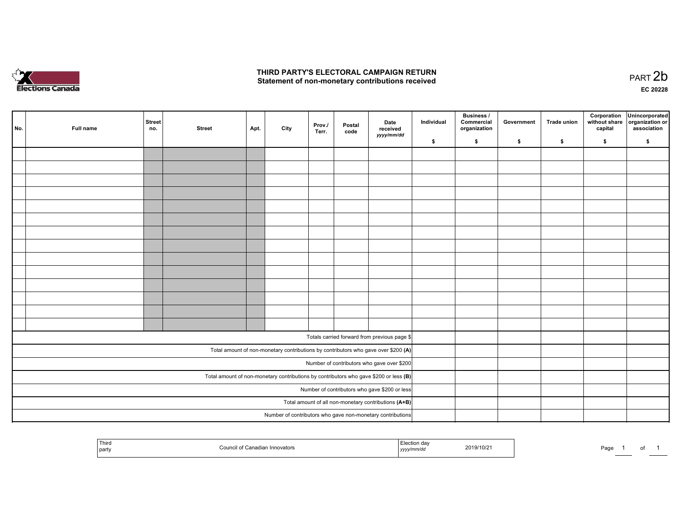

#### THIRD PARTY'S ELECTORAL CAMPAIGN RETURN Statement of non-monetary contributions received

| No. | Full name | Street<br>no.                                        | <b>Street</b> | Apt. | City | Prov./<br>Terr. | Postal<br>code | Date<br>received<br>yyyy/mm/dd                                                          | Individual | <b>Business /</b><br>Commercial<br>organization | Government | <b>Trade union</b> | Corporation<br>without share<br>capital | Unincorporated<br>organization or<br>association |
|-----|-----------|------------------------------------------------------|---------------|------|------|-----------------|----------------|-----------------------------------------------------------------------------------------|------------|-------------------------------------------------|------------|--------------------|-----------------------------------------|--------------------------------------------------|
|     |           |                                                      |               |      |      |                 |                |                                                                                         | \$         | \$                                              | \$         | \$                 | \$                                      | \$                                               |
|     |           |                                                      |               |      |      |                 |                |                                                                                         |            |                                                 |            |                    |                                         |                                                  |
|     |           |                                                      |               |      |      |                 |                |                                                                                         |            |                                                 |            |                    |                                         |                                                  |
|     |           |                                                      |               |      |      |                 |                |                                                                                         |            |                                                 |            |                    |                                         |                                                  |
|     |           |                                                      |               |      |      |                 |                |                                                                                         |            |                                                 |            |                    |                                         |                                                  |
|     |           |                                                      |               |      |      |                 |                |                                                                                         |            |                                                 |            |                    |                                         |                                                  |
|     |           |                                                      |               |      |      |                 |                |                                                                                         |            |                                                 |            |                    |                                         |                                                  |
|     |           |                                                      |               |      |      |                 |                |                                                                                         |            |                                                 |            |                    |                                         |                                                  |
|     |           |                                                      |               |      |      |                 |                |                                                                                         |            |                                                 |            |                    |                                         |                                                  |
|     |           |                                                      |               |      |      |                 |                |                                                                                         |            |                                                 |            |                    |                                         |                                                  |
|     |           |                                                      |               |      |      |                 |                |                                                                                         |            |                                                 |            |                    |                                         |                                                  |
|     |           |                                                      |               |      |      |                 |                |                                                                                         |            |                                                 |            |                    |                                         |                                                  |
|     |           |                                                      |               |      |      |                 |                |                                                                                         |            |                                                 |            |                    |                                         |                                                  |
|     |           |                                                      |               |      |      |                 |                |                                                                                         |            |                                                 |            |                    |                                         |                                                  |
|     |           |                                                      |               |      |      |                 |                |                                                                                         |            |                                                 |            |                    |                                         |                                                  |
|     |           |                                                      |               |      |      |                 |                | Totals carried forward from previous page \$                                            |            |                                                 |            |                    |                                         |                                                  |
|     |           |                                                      |               |      |      |                 |                | Total amount of non-monetary contributions by contributors who gave over \$200 (A)      |            |                                                 |            |                    |                                         |                                                  |
|     |           |                                                      |               |      |      |                 |                | Number of contributors who gave over \$200                                              |            |                                                 |            |                    |                                         |                                                  |
|     |           |                                                      |               |      |      |                 |                | Total amount of non-monetary contributions by contributors who gave \$200 or less $(B)$ |            |                                                 |            |                    |                                         |                                                  |
|     |           | Number of contributors who gave \$200 or less        |               |      |      |                 |                |                                                                                         |            |                                                 |            |                    |                                         |                                                  |
|     |           | Total amount of all non-monetary contributions (A+B) |               |      |      |                 |                |                                                                                         |            |                                                 |            |                    |                                         |                                                  |
|     |           |                                                      |               |      |      |                 |                | Number of contributors who gave non-monetary contributions                              |            |                                                 |            |                    |                                         |                                                  |

|  | Third<br>party | hovators | . <i>.</i> | 9/10/2 <sup>.</sup><br><b>ZU15</b> | au' |  |  |  |
|--|----------------|----------|------------|------------------------------------|-----|--|--|--|
|--|----------------|----------|------------|------------------------------------|-----|--|--|--|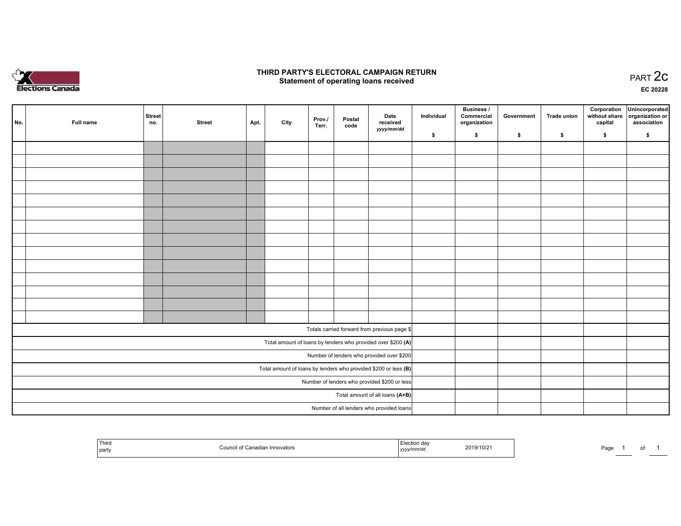

#### THIRD PARTY'S ELECTORAL CAMPAIGN RETURN PARTY'S ELECTORAL CAMPAIGN RETURN<br>Statement of operating loans received PART 2C

EC <sup>20228</sup>

| No. | Full name | Street<br>no. | <b>Street</b> | Apt. | City | Prov./<br>Terr. | Postal<br>code | Date<br>received<br>yyyy/mm/dd                                    | Individual | Business /<br>Commercial<br>organization | Government | Trade union | Corporation<br>without share<br>capital | Unincorporated<br>organization or<br>association |
|-----|-----------|---------------|---------------|------|------|-----------------|----------------|-------------------------------------------------------------------|------------|------------------------------------------|------------|-------------|-----------------------------------------|--------------------------------------------------|
|     |           |               |               |      |      |                 |                |                                                                   | \$         | \$                                       | \$         | \$          | \$                                      | \$                                               |
|     |           |               |               |      |      |                 |                |                                                                   |            |                                          |            |             |                                         |                                                  |
|     |           |               |               |      |      |                 |                |                                                                   |            |                                          |            |             |                                         |                                                  |
|     |           |               |               |      |      |                 |                |                                                                   |            |                                          |            |             |                                         |                                                  |
|     |           |               |               |      |      |                 |                |                                                                   |            |                                          |            |             |                                         |                                                  |
|     |           |               |               |      |      |                 |                |                                                                   |            |                                          |            |             |                                         |                                                  |
|     |           |               |               |      |      |                 |                |                                                                   |            |                                          |            |             |                                         |                                                  |
|     |           |               |               |      |      |                 |                |                                                                   |            |                                          |            |             |                                         |                                                  |
|     |           |               |               |      |      |                 |                |                                                                   |            |                                          |            |             |                                         |                                                  |
|     |           |               |               |      |      |                 |                |                                                                   |            |                                          |            |             |                                         |                                                  |
|     |           |               |               |      |      |                 |                |                                                                   |            |                                          |            |             |                                         |                                                  |
|     |           |               |               |      |      |                 |                |                                                                   |            |                                          |            |             |                                         |                                                  |
|     |           |               |               |      |      |                 |                |                                                                   |            |                                          |            |             |                                         |                                                  |
|     |           |               |               |      |      |                 |                |                                                                   |            |                                          |            |             |                                         |                                                  |
|     |           |               |               |      |      |                 |                |                                                                   |            |                                          |            |             |                                         |                                                  |
|     |           |               |               |      |      |                 |                | Totals carried forward from previous page \$                      |            |                                          |            |             |                                         |                                                  |
|     |           |               |               |      |      |                 |                | Total amount of loans by lenders who provided over \$200 (A)      |            |                                          |            |             |                                         |                                                  |
|     |           |               |               |      |      |                 |                | Number of lenders who provided over \$200                         |            |                                          |            |             |                                         |                                                  |
|     |           |               |               |      |      |                 |                | Total amount of loans by lenders who provided \$200 or less $(B)$ |            |                                          |            |             |                                         |                                                  |
|     |           |               |               |      |      |                 |                | Number of lenders who provided \$200 or less                      |            |                                          |            |             |                                         |                                                  |
|     |           |               |               |      |      |                 |                | Total amount of all loans (A+B)                                   |            |                                          |            |             |                                         |                                                  |
|     |           |               |               |      |      |                 |                | Number of all lenders who provided loans                          |            |                                          |            |             |                                         |                                                  |

| l Third<br>party | Concelion<br>Innovators<br>$\Gamma$ ound<br>. valiaulali 1 | Election dav<br>2019/10/21<br>,,,, | Page<br>. . |
|------------------|------------------------------------------------------------|------------------------------------|-------------|
|------------------|------------------------------------------------------------|------------------------------------|-------------|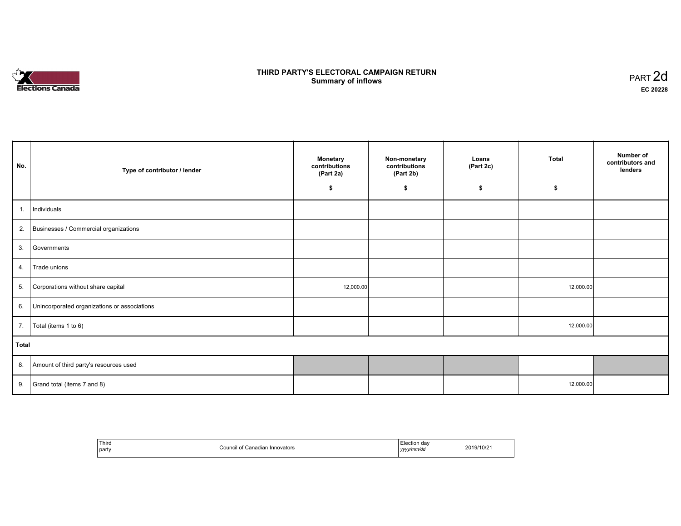# **Elections Canada**

#### THIRD PARTY'S ELECTORAL CAMPAIGN RETURN **Summary of inflows**  $\sigma$  of inflows  $\sigma$  inflows  $\sigma$  inflows  $\sigma$  inflows  $\sigma$

| No.   | Type of contributor / lender                    | <b>Monetary</b><br>contributions<br>(Part 2a)<br>\$ | Non-monetary<br>contributions<br>(Part 2b)<br>\$ | Loans<br>(Part 2c)<br>\$ | Total<br>\$ | Number of<br>contributors and<br>lenders |
|-------|-------------------------------------------------|-----------------------------------------------------|--------------------------------------------------|--------------------------|-------------|------------------------------------------|
|       |                                                 |                                                     |                                                  |                          |             |                                          |
| 1.    | Individuals                                     |                                                     |                                                  |                          |             |                                          |
|       | 2. Businesses / Commercial organizations        |                                                     |                                                  |                          |             |                                          |
|       | 3. Governments                                  |                                                     |                                                  |                          |             |                                          |
| 4.    | Trade unions                                    |                                                     |                                                  |                          |             |                                          |
| 5.    | Corporations without share capital              | 12,000.00                                           |                                                  |                          | 12,000.00   |                                          |
|       | 6. Unincorporated organizations or associations |                                                     |                                                  |                          |             |                                          |
| 7.    | Total (items 1 to 6)                            |                                                     |                                                  |                          | 12,000.00   |                                          |
| Total |                                                 |                                                     |                                                  |                          |             |                                          |
|       | 8. Amount of third party's resources used       |                                                     |                                                  |                          |             |                                          |
|       | 9. $\int$ Grand total (items 7 and 8)           |                                                     |                                                  |                          | 12,000.00   |                                          |

| Third<br>party | Canadian Innovators<br>vallaular<br>. | tion dav:<br>.<br>yyyy/mm/dd<br>. | 2019/10/21 |
|----------------|---------------------------------------|-----------------------------------|------------|
|----------------|---------------------------------------|-----------------------------------|------------|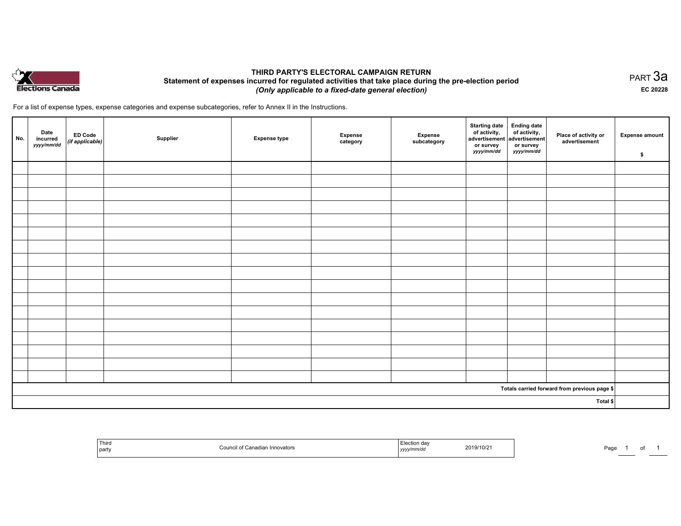

#### THIRD PARTY'S ELECTORAL CAMPAIGN RETURN Statement of expenses incurred for regulated activities that take place during the pre-election period (Only applicable to <sup>a</sup> fixed-date general election)

For <sup>a</sup> list of expense types, expense categories and expense subcategories, refer to Annex II in the Instructions.

| No. | Date<br>incurred<br>yyyy/mm/dd | <b>ED Code</b><br>$($ if applicable $)$ | Supplier | <b>Expense type</b> | <b>Expense</b><br>category | Expense<br>subcategory | <b>Starting date</b><br>of activity,<br>$ $ advertisement $ $ advertisement $ $<br>or survey<br>yyyy/mm/dd | <b>Ending date</b><br>of activity,<br>or survey<br>yyyy/mm/dd | Place of activity or<br>advertisement        | <b>Expense amount</b><br>\$ |
|-----|--------------------------------|-----------------------------------------|----------|---------------------|----------------------------|------------------------|------------------------------------------------------------------------------------------------------------|---------------------------------------------------------------|----------------------------------------------|-----------------------------|
|     |                                |                                         |          |                     |                            |                        |                                                                                                            |                                                               |                                              |                             |
|     |                                |                                         |          |                     |                            |                        |                                                                                                            |                                                               |                                              |                             |
|     |                                |                                         |          |                     |                            |                        |                                                                                                            |                                                               |                                              |                             |
|     |                                |                                         |          |                     |                            |                        |                                                                                                            |                                                               |                                              |                             |
|     |                                |                                         |          |                     |                            |                        |                                                                                                            |                                                               |                                              |                             |
|     |                                |                                         |          |                     |                            |                        |                                                                                                            |                                                               |                                              |                             |
|     |                                |                                         |          |                     |                            |                        |                                                                                                            |                                                               |                                              |                             |
|     |                                |                                         |          |                     |                            |                        |                                                                                                            |                                                               |                                              |                             |
|     |                                |                                         |          |                     |                            |                        |                                                                                                            |                                                               |                                              |                             |
|     |                                |                                         |          |                     |                            |                        |                                                                                                            |                                                               |                                              |                             |
|     |                                |                                         |          |                     |                            |                        |                                                                                                            |                                                               |                                              |                             |
|     |                                |                                         |          |                     |                            |                        |                                                                                                            |                                                               |                                              |                             |
|     |                                |                                         |          |                     |                            |                        |                                                                                                            |                                                               |                                              |                             |
|     |                                |                                         |          |                     |                            |                        |                                                                                                            |                                                               |                                              |                             |
|     |                                |                                         |          |                     |                            |                        |                                                                                                            |                                                               |                                              |                             |
|     |                                |                                         |          |                     |                            |                        |                                                                                                            |                                                               |                                              |                             |
|     |                                |                                         |          |                     |                            |                        |                                                                                                            |                                                               |                                              |                             |
|     |                                |                                         |          |                     |                            |                        |                                                                                                            |                                                               | Totals carried forward from previous page \$ |                             |
|     |                                |                                         |          |                     |                            |                        |                                                                                                            |                                                               | Total \$                                     |                             |

| Third<br>  party | 10 <sup>4</sup><br>11110071015 | uav | 019/10/2 | ∼∼<br>'аu |  |
|------------------|--------------------------------|-----|----------|-----------|--|
|------------------|--------------------------------|-----|----------|-----------|--|

равт $\,3$ а EC <sup>20228</sup>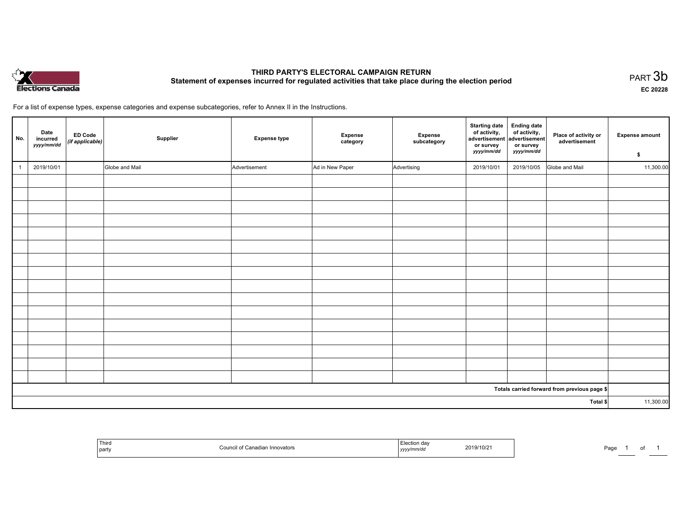

### THIRD PARTY'S ELECTORAL CAMPAIGN RETURN THIRD PARTT'S ELECTORAL CAMPAIGN RETURN<br>Statement of expenses incurred for regulated activities that take place during the election period PART 3b

EC <sup>20228</sup>

For <sup>a</sup> list of expense types, expense categories and expense subcategories, refer to Annex II in the Instructions.

| No.            | Date<br>incurred<br>yyyy/mm/dd | ED Code<br>(if applicable) | Supplier       | <b>Expense type</b> | <b>Expense</b><br>category | Expense<br>subcategory | <b>Starting date</b><br>of activity,<br>advertisement<br>or survey<br>yyyy/mm/dd | <b>Ending date</b><br>of activity,<br>advertisement<br>or survey<br>yyyy/mm/dd | Place of activity or<br>advertisement        | <b>Expense amount</b><br>\$ |
|----------------|--------------------------------|----------------------------|----------------|---------------------|----------------------------|------------------------|----------------------------------------------------------------------------------|--------------------------------------------------------------------------------|----------------------------------------------|-----------------------------|
| $\overline{1}$ | 2019/10/01                     |                            | Globe and Mail | Advertisement       | Ad in New Paper            | Advertising            | 2019/10/01                                                                       | 2019/10/05                                                                     | Globe and Mail                               | 11,300.00                   |
|                |                                |                            |                |                     |                            |                        |                                                                                  |                                                                                |                                              |                             |
|                |                                |                            |                |                     |                            |                        |                                                                                  |                                                                                |                                              |                             |
|                |                                |                            |                |                     |                            |                        |                                                                                  |                                                                                |                                              |                             |
|                |                                |                            |                |                     |                            |                        |                                                                                  |                                                                                |                                              |                             |
|                |                                |                            |                |                     |                            |                        |                                                                                  |                                                                                |                                              |                             |
|                |                                |                            |                |                     |                            |                        |                                                                                  |                                                                                |                                              |                             |
|                |                                |                            |                |                     |                            |                        |                                                                                  |                                                                                |                                              |                             |
|                |                                |                            |                |                     |                            |                        |                                                                                  |                                                                                |                                              |                             |
|                |                                |                            |                |                     |                            |                        |                                                                                  |                                                                                |                                              |                             |
|                |                                |                            |                |                     |                            |                        |                                                                                  |                                                                                |                                              |                             |
|                |                                |                            |                |                     |                            |                        |                                                                                  |                                                                                |                                              |                             |
|                |                                |                            |                |                     |                            |                        |                                                                                  |                                                                                |                                              |                             |
|                |                                |                            |                |                     |                            |                        |                                                                                  |                                                                                |                                              |                             |
|                |                                |                            |                |                     |                            |                        |                                                                                  |                                                                                |                                              |                             |
|                |                                |                            |                |                     |                            |                        |                                                                                  |                                                                                |                                              |                             |
|                |                                |                            |                |                     |                            |                        |                                                                                  |                                                                                |                                              |                             |
|                |                                |                            |                |                     |                            |                        |                                                                                  |                                                                                | Totals carried forward from previous page \$ |                             |
| Total \$       |                                |                            |                |                     |                            | 11,300.00              |                                                                                  |                                                                                |                                              |                             |

| Third<br>party | Innovators<br>υοι | ,,,,, | 2019/10/21 | Pag. |  |
|----------------|-------------------|-------|------------|------|--|
|----------------|-------------------|-------|------------|------|--|